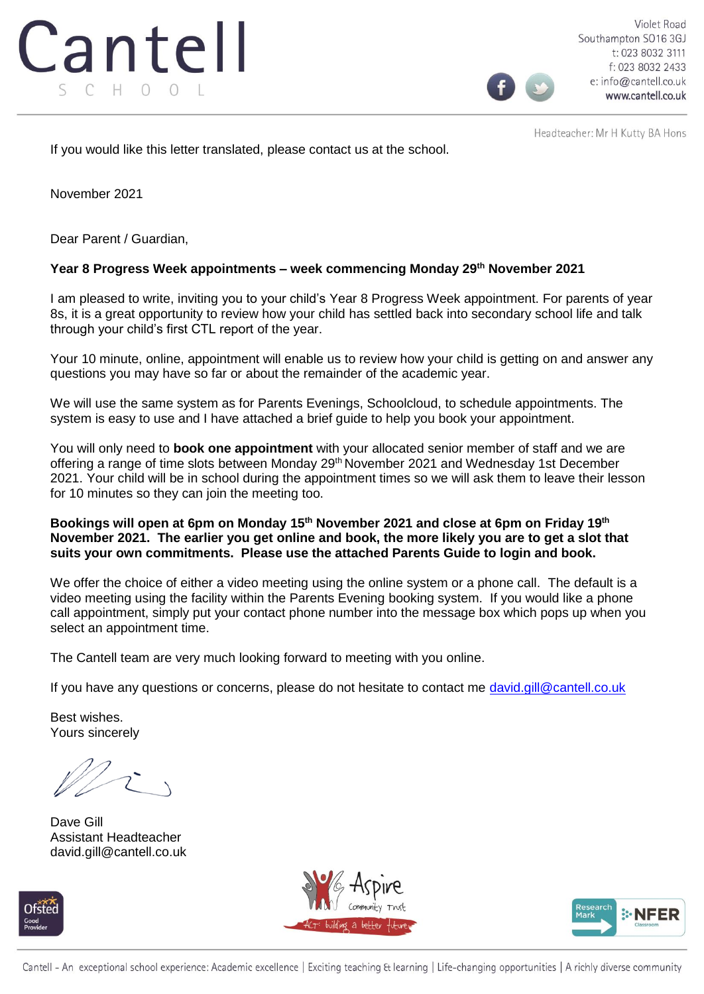

Violet Road Southampton SO16 3GJ t: 023 8032 3111 f: 023 8032 2433 e: info@cantell.co.uk www.cantell.co.uk

Headteacher: Mr H Kutty BA Hons

If you would like this letter translated, please contact us at the school.

November 2021

Dear Parent / Guardian,

# **Year 8 Progress Week appointments – week commencing Monday 29th November 2021**

I am pleased to write, inviting you to your child's Year 8 Progress Week appointment. For parents of year 8s, it is a great opportunity to review how your child has settled back into secondary school life and talk through your child's first CTL report of the year.

Your 10 minute, online, appointment will enable us to review how your child is getting on and answer any questions you may have so far or about the remainder of the academic year.

We will use the same system as for Parents Evenings, Schoolcloud, to schedule appointments. The system is easy to use and I have attached a brief guide to help you book your appointment.

You will only need to **book one appointment** with your allocated senior member of staff and we are offering a range of time slots between Monday 29<sup>th</sup> November 2021 and Wednesday 1st December 2021. Your child will be in school during the appointment times so we will ask them to leave their lesson for 10 minutes so they can join the meeting too.

# **Bookings will open at 6pm on Monday 15th November 2021 and close at 6pm on Friday 19th November 2021. The earlier you get online and book, the more likely you are to get a slot that suits your own commitments. Please use the attached Parents Guide to login and book.**

We offer the choice of either a video meeting using the online system or a phone call. The default is a video meeting using the facility within the Parents Evening booking system. If you would like a phone call appointment, simply put your contact phone number into the message box which pops up when you select an appointment time.

The Cantell team are very much looking forward to meeting with you online.

If you have any questions or concerns, please do not hesitate to contact me david.gill@cantell.co.uk

Best wishes. Yours sincerely

Dave Gill Assistant Headteacher david.gill@cantell.co.uk